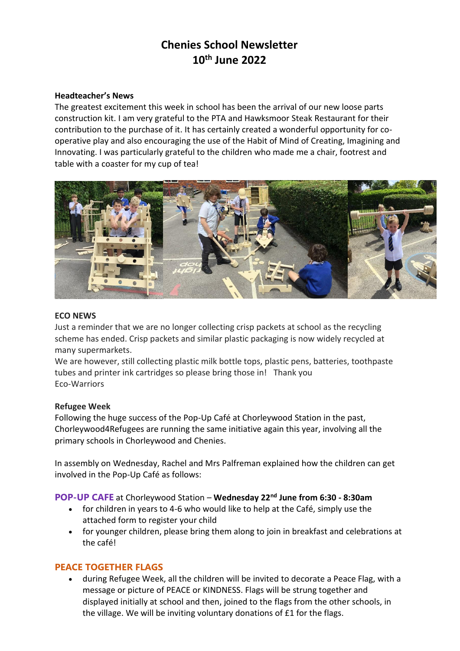# **Chenies School Newsletter 10th June 2022**

#### **Headteacher's News**

The greatest excitement this week in school has been the arrival of our new loose parts construction kit. I am very grateful to the PTA and Hawksmoor Steak Restaurant for their contribution to the purchase of it. It has certainly created a wonderful opportunity for cooperative play and also encouraging the use of the Habit of Mind of Creating, Imagining and Innovating. I was particularly grateful to the children who made me a chair, footrest and table with a coaster for my cup of tea!



#### **ECO NEWS**

Just a reminder that we are no longer collecting crisp packets at school as the recycling scheme has ended. Crisp packets and similar plastic packaging is now widely recycled at many supermarkets.

We are however, still collecting plastic milk bottle tops, plastic pens, batteries, toothpaste tubes and printer ink cartridges so please bring those in! Thank you Eco-Warriors

#### **Refugee Week**

Following the huge success of the Pop-Up Café at Chorleywood Station in the past, Chorleywood4Refugees are running the same initiative again this year, involving all the primary schools in Chorleywood and Chenies.

In assembly on Wednesday, Rachel and Mrs Palfreman explained how the children can get involved in the Pop-Up Café as follows:

**POP-UP CAFE** at Chorleywood Station – **Wednesday 22nd June from 6:30 - 8:30am**

- for children in years to 4-6 who would like to help at the Café, simply use the attached form to register your child
- for younger children, please bring them along to join in breakfast and celebrations at the café!

# **PEACE TOGETHER FLAGS**

 during Refugee Week, all the children will be invited to decorate a Peace Flag, with a message or picture of PEACE or KINDNESS. Flags will be strung together and displayed initially at school and then, joined to the flags from the other schools, in the village. We will be inviting voluntary donations of £1 for the flags.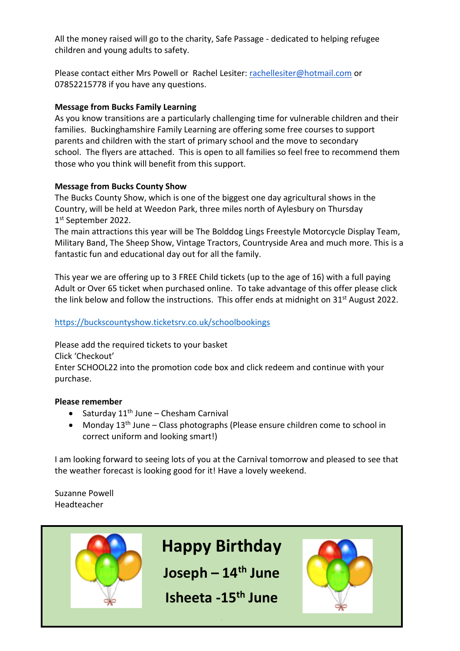All the money raised will go to the charity, Safe Passage - dedicated to helping refugee children and young adults to safety.

Please contact either Mrs Powell or Rachel Lesiter: [rachellesiter@hotmail.com](mailto:rachellesiter@hotmail.com) or 07852215778 if you have any questions.

# **Message from Bucks Family Learning**

As you know transitions are a particularly challenging time for vulnerable children and their families. Buckinghamshire Family Learning are offering some free courses to support parents and children with the start of primary school and the move to secondary school. The flyers are attached. This is open to all families so feel free to recommend them those who you think will benefit from this support.

# **Message from Bucks County Show**

The Bucks County Show, which is one of the biggest one day agricultural shows in the Country, will be held at Weedon Park, three miles north of Aylesbury on Thursday 1 st September 2022.

The main attractions this year will be The Bolddog Lings Freestyle Motorcycle Display Team, Military Band, The Sheep Show, Vintage Tractors, Countryside Area and much more. This is a fantastic fun and educational day out for all the family.

This year we are offering up to 3 FREE Child tickets (up to the age of 16) with a full paying Adult or Over 65 ticket when purchased online. To take advantage of this offer please click the link below and follow the instructions. This offer ends at midnight on  $31^{st}$  August 2022.

# <https://buckscountyshow.ticketsrv.co.uk/schoolbookings>

Please add the required tickets to your basket Click 'Checkout' Enter SCHOOL22 into the promotion code box and click redeem and continue with your purchase.

#### **Please remember**

- $\bullet$  Saturday 11<sup>th</sup> June Chesham Carnival
- Monday  $13<sup>th</sup>$  June Class photographs (Please ensure children come to school in correct uniform and looking smart!)

I am looking forward to seeing lots of you at the Carnival tomorrow and pleased to see that the weather forecast is looking good for it! Have a lovely weekend.

Suzanne Powell Headteacher

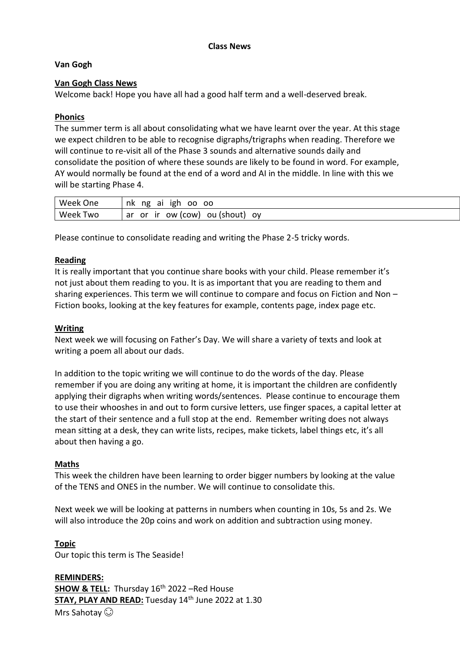#### **Class News**

# **Van Gogh**

# **Van Gogh Class News**

Welcome back! Hope you have all had a good half term and a well-deserved break.

# **Phonics**

The summer term is all about consolidating what we have learnt over the year. At this stage we expect children to be able to recognise digraphs/trigraphs when reading. Therefore we will continue to re-visit all of the Phase 3 sounds and alternative sounds daily and consolidate the position of where these sounds are likely to be found in word. For example, AY would normally be found at the end of a word and AI in the middle. In line with this we will be starting Phase 4.

| Week One           | ng<br>aı<br>nk.<br>oo<br>ıgh<br>oo                 |
|--------------------|----------------------------------------------------|
| Week<br><b>Two</b> | ov<br>(COW)<br>ou (shout)<br>ır<br>ow<br>ar<br>.or |

Please continue to consolidate reading and writing the Phase 2-5 tricky words.

# **Reading**

It is really important that you continue share books with your child. Please remember it's not just about them reading to you. It is as important that you are reading to them and sharing experiences. This term we will continue to compare and focus on Fiction and Non – Fiction books, looking at the key features for example, contents page, index page etc.

#### **Writing**

Next week we will focusing on Father's Day. We will share a variety of texts and look at writing a poem all about our dads.

In addition to the topic writing we will continue to do the words of the day. Please remember if you are doing any writing at home, it is important the children are confidently applying their digraphs when writing words/sentences. Please continue to encourage them to use their whooshes in and out to form cursive letters, use finger spaces, a capital letter at the start of their sentence and a full stop at the end. Remember writing does not always mean sitting at a desk, they can write lists, recipes, make tickets, label things etc, it's all about then having a go.

#### **Maths**

This week the children have been learning to order bigger numbers by looking at the value of the TENS and ONES in the number. We will continue to consolidate this.

Next week we will be looking at patterns in numbers when counting in 10s, 5s and 2s. We will also introduce the 20p coins and work on addition and subtraction using money.

#### **Topic**

Our topic this term is The Seaside!

**REMINDERS: SHOW & TELL:** Thursday 16<sup>th</sup> 2022 –Red House **STAY, PLAY AND READ:** Tuesday 14<sup>th</sup> June 2022 at 1.30 Mrs Sahotay  $\odot$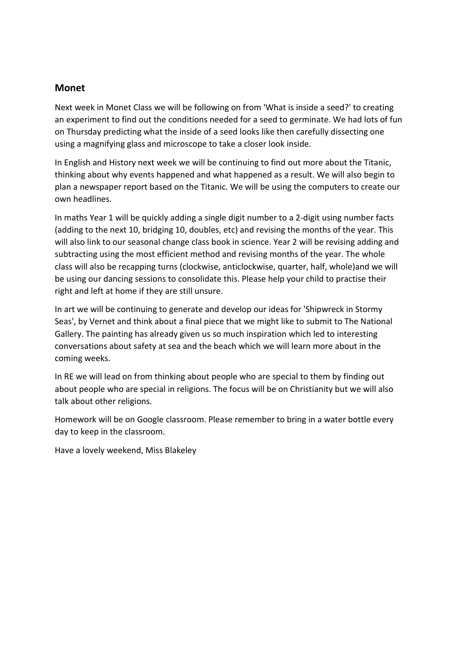# **Monet**

Next week in Monet Class we will be following on from 'What is inside a seed?' to creating an experiment to find out the conditions needed for a seed to germinate. We had lots of fun on Thursday predicting what the inside of a seed looks like then carefully dissecting one using a magnifying glass and microscope to take a closer look inside.

In English and History next week we will be continuing to find out more about the Titanic, thinking about why events happened and what happened as a result. We will also begin to plan a newspaper report based on the Titanic. We will be using the computers to create our own headlines.

In maths Year 1 will be quickly adding a single digit number to a 2-digit using number facts (adding to the next 10, bridging 10, doubles, etc) and revising the months of the year. This will also link to our seasonal change class book in science. Year 2 will be revising adding and subtracting using the most efficient method and revising months of the year. The whole class will also be recapping turns (clockwise, anticlockwise, quarter, half, whole)and we will be using our dancing sessions to consolidate this. Please help your child to practise their right and left at home if they are still unsure.

In art we will be continuing to generate and develop our ideas for 'Shipwreck in Stormy Seas', by Vernet and think about a final piece that we might like to submit to The National Gallery. The painting has already given us so much inspiration which led to interesting conversations about safety at sea and the beach which we will learn more about in the coming weeks.

In RE we will lead on from thinking about people who are special to them by finding out about people who are special in religions. The focus will be on Christianity but we will also talk about other religions.

Homework will be on Google classroom. Please remember to bring in a water bottle every day to keep in the classroom.

Have a lovely weekend, Miss Blakeley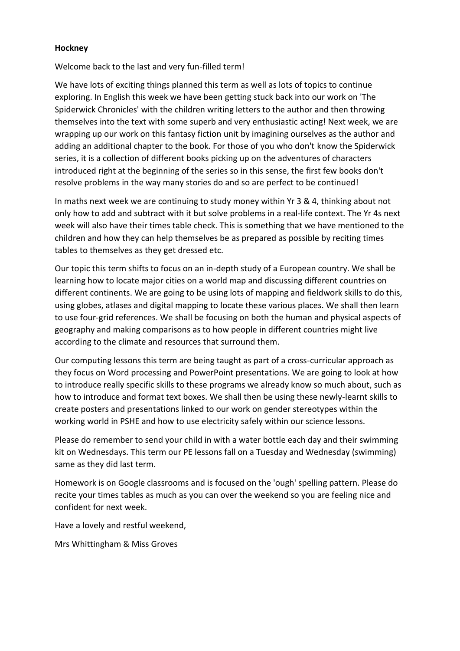#### **Hockney**

Welcome back to the last and very fun-filled term!

We have lots of exciting things planned this term as well as lots of topics to continue exploring. In English this week we have been getting stuck back into our work on 'The Spiderwick Chronicles' with the children writing letters to the author and then throwing themselves into the text with some superb and very enthusiastic acting! Next week, we are wrapping up our work on this fantasy fiction unit by imagining ourselves as the author and adding an additional chapter to the book. For those of you who don't know the Spiderwick series, it is a collection of different books picking up on the adventures of characters introduced right at the beginning of the series so in this sense, the first few books don't resolve problems in the way many stories do and so are perfect to be continued!

In maths next week we are continuing to study money within Yr 3 & 4, thinking about not only how to add and subtract with it but solve problems in a real-life context. The Yr 4s next week will also have their times table check. This is something that we have mentioned to the children and how they can help themselves be as prepared as possible by reciting times tables to themselves as they get dressed etc.

Our topic this term shifts to focus on an in-depth study of a European country. We shall be learning how to locate major cities on a world map and discussing different countries on different continents. We are going to be using lots of mapping and fieldwork skills to do this, using globes, atlases and digital mapping to locate these various places. We shall then learn to use four-grid references. We shall be focusing on both the human and physical aspects of geography and making comparisons as to how people in different countries might live according to the climate and resources that surround them.

Our computing lessons this term are being taught as part of a cross-curricular approach as they focus on Word processing and PowerPoint presentations. We are going to look at how to introduce really specific skills to these programs we already know so much about, such as how to introduce and format text boxes. We shall then be using these newly-learnt skills to create posters and presentations linked to our work on gender stereotypes within the working world in PSHE and how to use electricity safely within our science lessons.

Please do remember to send your child in with a water bottle each day and their swimming kit on Wednesdays. This term our PE lessons fall on a Tuesday and Wednesday (swimming) same as they did last term.

Homework is on Google classrooms and is focused on the 'ough' spelling pattern. Please do recite your times tables as much as you can over the weekend so you are feeling nice and confident for next week.

Have a lovely and restful weekend,

Mrs Whittingham & Miss Groves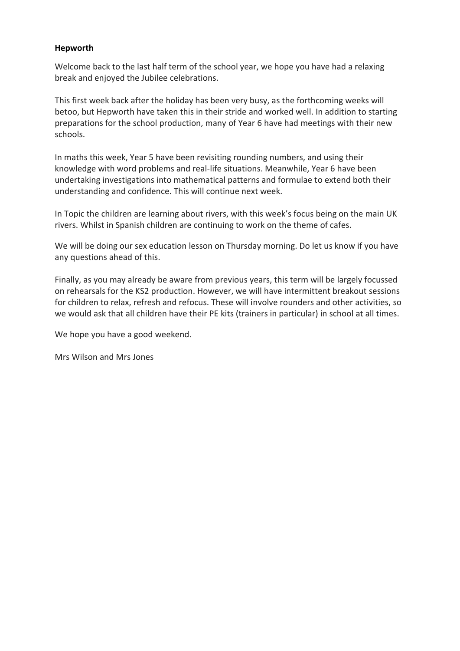# **Hepworth**

Welcome back to the last half term of the school year, we hope you have had a relaxing break and enjoyed the Jubilee celebrations.

This first week back after the holiday has been very busy, as the forthcoming weeks will betoo, but Hepworth have taken this in their stride and worked well. In addition to starting preparations for the school production, many of Year 6 have had meetings with their new schools.

In maths this week, Year 5 have been revisiting rounding numbers, and using their knowledge with word problems and real-life situations. Meanwhile, Year 6 have been undertaking investigations into mathematical patterns and formulae to extend both their understanding and confidence. This will continue next week.

In Topic the children are learning about rivers, with this week's focus being on the main UK rivers. Whilst in Spanish children are continuing to work on the theme of cafes.

We will be doing our sex education lesson on Thursday morning. Do let us know if you have any questions ahead of this.

Finally, as you may already be aware from previous years, this term will be largely focussed on rehearsals for the KS2 production. However, we will have intermittent breakout sessions for children to relax, refresh and refocus. These will involve rounders and other activities, so we would ask that all children have their PE kits (trainers in particular) in school at all times.

We hope you have a good weekend.

Mrs Wilson and Mrs Jones